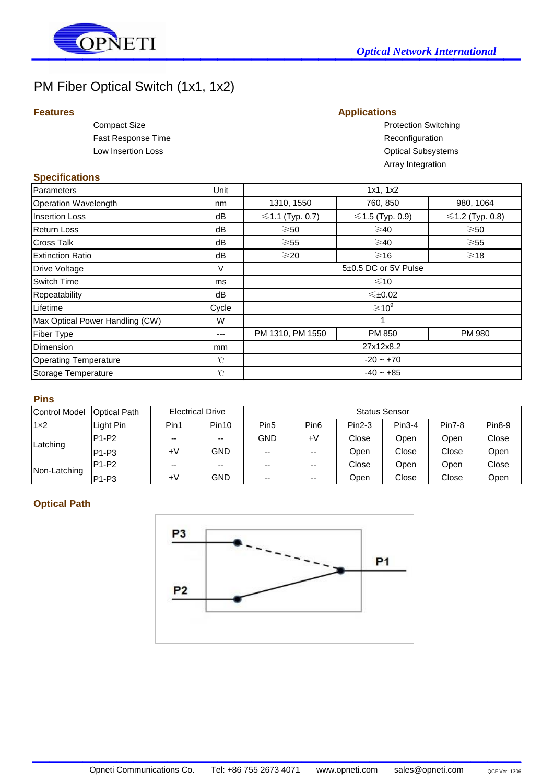

# PM Fiber Optical Switch (1x1, 1x2)

## **Features Applications**

Fast Response Time **Reconfiguration** Reconfiguration

Compact Size **Compact Size Protection Switching** Low Insertion Loss **Contract Contract Contract Contract Contract Contract Contract Contract Contract Contract Contract Contract Contract Contract Contract Contract Contract Contract Contract Contract Contract Contract Cont** Array Integration

#### **Specifications**

| <b>Parameters</b>               | Unit         | 1x1, 1x2                    |                   |                   |  |  |
|---------------------------------|--------------|-----------------------------|-------------------|-------------------|--|--|
| Operation Wavelength            | nm           | 1310, 1550                  | 760, 850          | 980, 1064         |  |  |
| <b>Insertion Loss</b>           | dB           | $≤1.1$ (Typ. 0.7)           | $≤1.5$ (Typ. 0.9) | $≤1.2$ (Typ. 0.8) |  |  |
| <b>Return Loss</b>              | dB           | $\geqslant50$               | $\geqslant$ 40    | $\geqslant$ 50    |  |  |
| Cross Talk                      | dB           | $\geqslant$ 55              | $\geqslant$ 40    | $\geqslant$ 55    |  |  |
| <b>Extinction Ratio</b>         | dB           | $\geqslant$ 20              | $\geqslant$ 16    | $\geqslant$ 18    |  |  |
| Drive Voltage                   | V            | 5±0.5 DC or 5V Pulse        |                   |                   |  |  |
| Switch Time                     | ms           | $\leq 10$                   |                   |                   |  |  |
| Repeatability                   | dB           | ≤±0.02                      |                   |                   |  |  |
| Lifetime                        | Cycle        | $\geqslant$ 10 <sup>9</sup> |                   |                   |  |  |
| Max Optical Power Handling (CW) | W            |                             |                   |                   |  |  |
| Fiber Type                      | ---          | PM 1310, PM 1550            | PM 850            | PM 980            |  |  |
| Dimension                       | mm           | 27x12x8.2                   |                   |                   |  |  |
| <b>Operating Temperature</b>    | $^{\circ}$ C | $-20 - +70$                 |                   |                   |  |  |
| Storage Temperature             | $^{\circ}$ C | $-40 - +85$                 |                   |                   |  |  |

#### **Pins**

| <b>Control Model</b> | <b>Optical Path</b>            | <b>Electrical Drive</b>  |                          | <b>Status Sensor</b> |                  |          |          |               |               |
|----------------------|--------------------------------|--------------------------|--------------------------|----------------------|------------------|----------|----------|---------------|---------------|
| $1\times2$           | Light Pin                      | Pin1                     | Pin <sub>10</sub>        | Pin <sub>5</sub>     | Pin <sub>6</sub> | $Pin2-3$ | $Pin3-4$ | <b>Pin7-8</b> | <b>Pin8-9</b> |
| Latching             | $P1-P2$                        | $\sim$ $\sim$            | $\sim$ $\sim$            | <b>GND</b>           | $+V$             | Close    | Open     | Open          | Close         |
|                      | $P1-P3$                        | $+V$                     | <b>GND</b>               | $- -$                | $- -$            | Open     | Close    | Close         | Open          |
| Non-Latching         | $P1-P2$                        | $\overline{\phantom{a}}$ | $\overline{\phantom{a}}$ | $- -$                | $- -$            | Close    | Open     | Open          | Close         |
|                      | P <sub>1</sub> -P <sub>3</sub> | +٧                       | <b>GND</b>               | $- -$                | $- -$            | Open     | Close    | Close         | Open          |

## **Optical Path**



 $\mathcal{L}_\text{max}$  and  $\mathcal{L}_\text{max}$  and  $\mathcal{L}_\text{max}$  are the set of  $\mathcal{L}_\text{max}$  and  $\mathcal{L}_\text{max}$